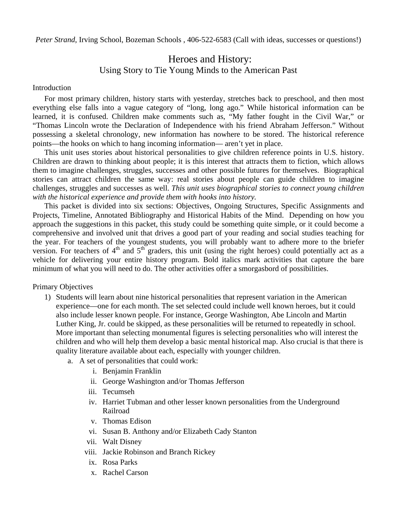*Peter Strand*, Irving School, Bozeman Schools, 406-522-6583 (Call with ideas, successes or questions!)

# Heroes and History: Using Story to Tie Young Minds to the American Past

#### Introduction

For most primary children, history starts with yesterday, stretches back to preschool, and then most everything else falls into a vague category of "long, long ago." While historical information can be learned, it is confused. Children make comments such as, "My father fought in the Civil War," or "Thomas Lincoln wrote the Declaration of Independence with his friend Abraham Jefferson." Without possessing a skeletal chronology, new information has nowhere to be stored. The historical reference points—the hooks on which to hang incoming information— aren't yet in place.

This unit uses stories about historical personalities to give children reference points in U.S. history. Children are drawn to thinking about people; it is this interest that attracts them to fiction, which allows them to imagine challenges, struggles, successes and other possible futures for themselves. Biographical stories can attract children the same way: real stories about people can guide children to imagine challenges, struggles and successes as well. *This unit uses biographical stories to connect young children with the historical experience and provide them with hooks into history.*

This packet is divided into six sections: Objectives, Ongoing Structures, Specific Assignments and Projects, Timeline, Annotated Bibliography and Historical Habits of the Mind. Depending on how you approach the suggestions in this packet, this study could be something quite simple, or it could become a comprehensive and involved unit that drives a good part of your reading and social studies teaching for the year. For teachers of the youngest students, you will probably want to adhere more to the briefer version. For teachers of  $4<sup>th</sup>$  and  $5<sup>th</sup>$  graders, this unit (using the right heroes) could potentially act as a vehicle for delivering your entire history program. Bold italics mark activities that capture the bare minimum of what you will need to do. The other activities offer a smorgasbord of possibilities.

Primary Objectives

- 1) Students will learn about nine historical personalities that represent variation in the American experience—one for each month. The set selected could include well known heroes, but it could also include lesser known people. For instance, George Washington, Abe Lincoln and Martin Luther King, Jr. could be skipped, as these personalities will be returned to repeatedly in school. More important than selecting monumental figures is selecting personalities who will interest the children and who will help them develop a basic mental historical map. Also crucial is that there is quality literature available about each, especially with younger children.
	- a. A set of personalities that could work:
		- i. Benjamin Franklin
		- ii. George Washington and/or Thomas Jefferson
		- iii. Tecumseh
		- iv. Harriet Tubman and other lesser known personalities from the Underground Railroad
		- v. Thomas Edison
		- vi. Susan B. Anthony and/or Elizabeth Cady Stanton
		- vii. Walt Disney
		- viii. Jackie Robinson and Branch Rickey
		- ix. Rosa Parks
		- x. Rachel Carson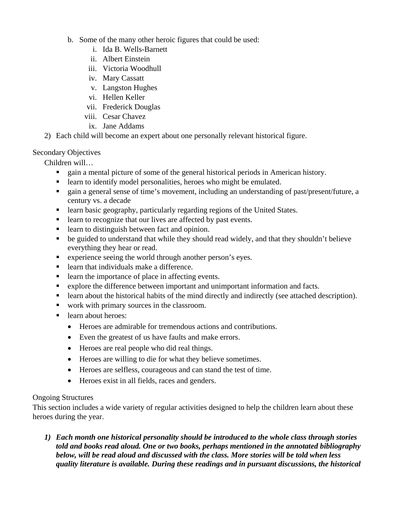- b. Some of the many other heroic figures that could be used:
	- i. Ida B. Wells-Barnett
	- ii. Albert Einstein
	- iii. Victoria Woodhull
	- iv. Mary Cassatt
	- v. Langston Hughes
	- vi. Hellen Keller
	- vii. Frederick Douglas
	- viii. Cesar Chavez
	- ix. Jane Addams
- 2) Each child will become an expert about one personally relevant historical figure.

# Secondary Objectives

Children will…

- gain a mental picture of some of the general historical periods in American history.
- learn to identify model personalities, heroes who might be emulated.
- gain a general sense of time's movement, including an understanding of past/present/future, a century vs. a decade
- **Example 1** learn basic geography, particularly regarding regions of the United States.
- learn to recognize that our lives are affected by past events.
- learn to distinguish between fact and opinion.
- be guided to understand that while they should read widely, and that they shouldn't believe everything they hear or read.
- experience seeing the world through another person's eyes.
- learn that individuals make a difference.
- learn the importance of place in affecting events.
- explore the difference between important and unimportant information and facts.
- learn about the historical habits of the mind directly and indirectly (see attached description).
- work with primary sources in the classroom.
- learn about heroes:
	- Heroes are admirable for tremendous actions and contributions.
	- Even the greatest of us have faults and make errors.
	- Heroes are real people who did real things.
	- Heroes are willing to die for what they believe sometimes.
	- Heroes are selfless, courageous and can stand the test of time.
	- Heroes exist in all fields, races and genders.

# Ongoing Structures

This section includes a wide variety of regular activities designed to help the children learn about these heroes during the year.

*1) Each month one historical personality should be introduced to the whole class through stories told and books read aloud. One or two books, perhaps mentioned in the annotated bibliography below, will be read aloud and discussed with the class. More stories will be told when less quality literature is available. During these readings and in pursuant discussions, the historical*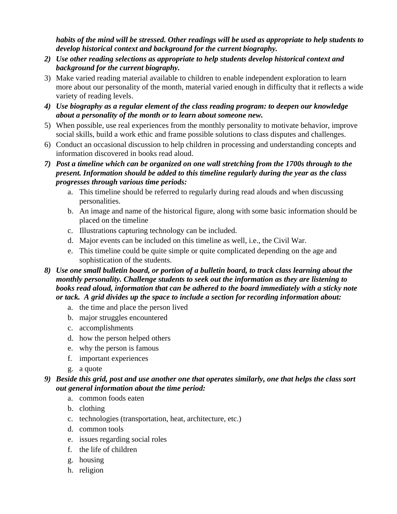*habits of the mind will be stressed. Other readings will be used as appropriate to help students to develop historical context and background for the current biography.* 

- *2) Use other reading selections as appropriate to help students develop historical context and background for the current biography.*
- 3) Make varied reading material available to children to enable independent exploration to learn more about our personality of the month, material varied enough in difficulty that it reflects a wide variety of reading levels.
- *4) Use biography as a regular element of the class reading program: to deepen our knowledge about a personality of the month or to learn about someone new.*
- 5) When possible, use real experiences from the monthly personality to motivate behavior, improve social skills, build a work ethic and frame possible solutions to class disputes and challenges.
- 6) Conduct an occasional discussion to help children in processing and understanding concepts and information discovered in books read aloud.
- *7) Post a timeline which can be organized on one wall stretching from the 1700s through to the present. Information should be added to this timeline regularly during the year as the class progresses through various time periods:* 
	- a. This timeline should be referred to regularly during read alouds and when discussing personalities.
	- b. An image and name of the historical figure, along with some basic information should be placed on the timeline
	- c. Illustrations capturing technology can be included.
	- d. Major events can be included on this timeline as well, i.e., the Civil War.
	- e. This timeline could be quite simple or quite complicated depending on the age and sophistication of the students.
- *8) Use one small bulletin board, or portion of a bulletin board, to track class learning about the monthly personality. Challenge students to seek out the information as they are listening to books read aloud, information that can be adhered to the board immediately with a sticky note or tack. A grid divides up the space to include a section for recording information about:* 
	- a. the time and place the person lived
	- b. major struggles encountered
	- c. accomplishments
	- d. how the person helped others
	- e. why the person is famous
	- f. important experiences
	- g. a quote

# *9) Beside this grid, post and use another one that operates similarly, one that helps the class sort out general information about the time period:*

- a. common foods eaten
- b. clothing
- c. technologies (transportation, heat, architecture, etc.)
- d. common tools
- e. issues regarding social roles
- f. the life of children
- g. housing
- h. religion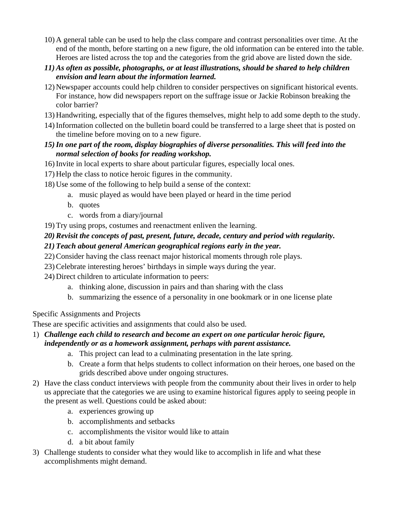- 10) A general table can be used to help the class compare and contrast personalities over time. At the end of the month, before starting on a new figure, the old information can be entered into the table. Heroes are listed across the top and the categories from the grid above are listed down the side.
- *11) As often as possible, photographs, or at least illustrations, should be shared to help children envision and learn about the information learned.*
- 12) Newspaper accounts could help children to consider perspectives on significant historical events. For instance, how did newspapers report on the suffrage issue or Jackie Robinson breaking the color barrier?
- 13) Handwriting, especially that of the figures themselves, might help to add some depth to the study.
- 14) Information collected on the bulletin board could be transferred to a large sheet that is posted on the timeline before moving on to a new figure.

# *15)In one part of the room, display biographies of diverse personalities. This will feed into the normal selection of books for reading workshop.*

- 16) Invite in local experts to share about particular figures, especially local ones.
- 17) Help the class to notice heroic figures in the community.
- 18) Use some of the following to help build a sense of the context:
	- a. music played as would have been played or heard in the time period
	- b. quotes
	- c. words from a diary/journal
- 19) Try using props, costumes and reenactment enliven the learning.

# *20) Revisit the concepts of past, present, future, decade, century and period with regularity.*

- *21) Teach about general American geographical regions early in the year.*
- 22) Consider having the class reenact major historical moments through role plays.
- 23) Celebrate interesting heroes' birthdays in simple ways during the year.
- 24) Direct children to articulate information to peers:
	- a. thinking alone, discussion in pairs and than sharing with the class
	- b. summarizing the essence of a personality in one bookmark or in one license plate

# Specific Assignments and Projects

These are specific activities and assignments that could also be used.

# 1) *Challenge each child to research and become an expert on one particular heroic figure, independently or as a homework assignment, perhaps with parent assistance.*

- a. This project can lead to a culminating presentation in the late spring.
- b. Create a form that helps students to collect information on their heroes, one based on the grids described above under ongoing structures.
- 2) Have the class conduct interviews with people from the community about their lives in order to help us appreciate that the categories we are using to examine historical figures apply to seeing people in the present as well. Questions could be asked about:
	- a. experiences growing up
	- b. accomplishments and setbacks
	- c. accomplishments the visitor would like to attain
	- d. a bit about family
- 3) Challenge students to consider what they would like to accomplish in life and what these accomplishments might demand.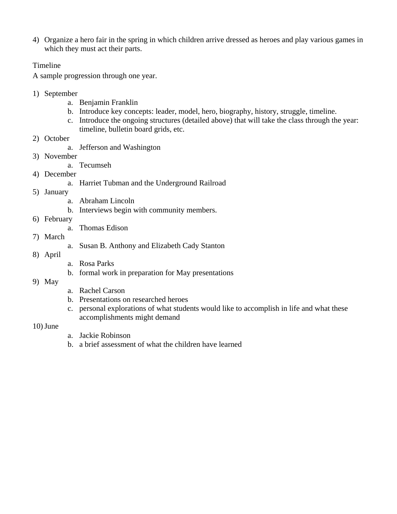4) Organize a hero fair in the spring in which children arrive dressed as heroes and play various games in which they must act their parts.

## Timeline

A sample progression through one year.

- 1) September
	- a. Benjamin Franklin
	- b. Introduce key concepts: leader, model, hero, biography, history, struggle, timeline.
	- c. Introduce the ongoing structures (detailed above) that will take the class through the year: timeline, bulletin board grids, etc.
- 2) October
	- a. Jefferson and Washington
- 3) November
	- a. Tecumseh
- 4) December
	- a. Harriet Tubman and the Underground Railroad
- 5) January
	- a. Abraham Lincoln
	- b. Interviews begin with community members.
- 6) February
	- a. Thomas Edison
- 7) March
- a. Susan B. Anthony and Elizabeth Cady Stanton
- 8) April
- a. Rosa Parks
- b. formal work in preparation for May presentations
- 9) May
- a. Rachel Carson
- b. Presentations on researched heroes
- c. personal explorations of what students would like to accomplish in life and what these accomplishments might demand

## $10)$  June

- a. Jackie Robinson
- b. a brief assessment of what the children have learned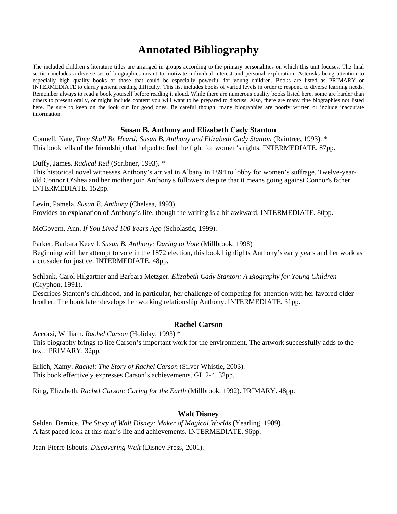# **Annotated Bibliography**

The included children's literature titles are arranged in groups according to the primary personalities on which this unit focuses. The final section includes a diverse set of biographies meant to motivate individual interest and personal exploration. Asterisks bring attention to especially high quality books or those that could be especially powerful for young children. Books are listed as PRIMARY or INTERMEDIATE to clarify general reading difficulty. This list includes books of varied levels in order to respond to diverse learning needs. Remember always to read a book yourself before reading it aloud. While there are numerous quality books listed here, some are harder than others to present orally, or might include content you will want to be prepared to discuss. Also, there are many fine biographies not listed here. Be sure to keep on the look out for good ones. Be careful though: many biographies are poorly written or include inaccurate information.

## **Susan B. Anthony and Elizabeth Cady Stanton**

Connell, Kate, *They Shall Be Heard: Susan B. Anthony and Elizabeth Cady Stanton* (Raintree, 1993). \* This book tells of the friendship that helped to fuel the fight for women's rights. INTERMEDIATE. 87pp.

Duffy, James. *Radical Red* (Scribner, 1993). \*

This historical novel witnesses Anthony's arrival in Albany in 1894 to lobby for women's suffrage. Twelve-yearold Connor O'Shea and her mother join Anthony's followers despite that it means going against Connor's father. INTERMEDIATE. 152pp.

Levin, Pamela. *Susan B. Anthony* (Chelsea, 1993). Provides an explanation of Anthony's life, though the writing is a bit awkward. INTERMEDIATE. 80pp.

McGovern, Ann. *If You Lived 100 Years Ago* (Scholastic, 1999).

Parker, Barbara Keevil. *Susan B. Anthony: Daring to Vote* (Millbrook, 1998) Beginning with her attempt to vote in the 1872 election, this book highlights Anthony's early years and her work as a crusader for justice. INTERMEDIATE. 48pp.

Schlank, Carol Hilgartner and Barbara Metzger. *Elizabeth Cady Stanton: A Biography for Young Children* (Gryphon, 1991).

Describes Stanton's childhood, and in particular, her challenge of competing for attention with her favored older brother. The book later develops her working relationship Anthony. INTERMEDIATE. 31pp.

#### **Rachel Carson**

Accorsi, William. *Rachel Carson* (Holiday, 1993) \* This biography brings to life Carson's important work for the environment. The artwork successfully adds to the text. PRIMARY. 32pp.

Erlich, Xamy. *Rachel: The Story of Rachel Carson* (Silver Whistle, 2003). This book effectively expresses Carson's achievements. GL 2-4. 32pp.

Ring, Elizabeth. *Rachel Carson: Caring for the Earth* (Millbrook, 1992). PRIMARY. 48pp.

## **Walt Disney**

Selden, Bernice. *The Story of Walt Disney: Maker of Magical Worlds* (Yearling, 1989). A fast paced look at this man's life and achievements. INTERMEDIATE. 96pp.

Jean-Pierre Isbouts. *Discovering Walt* (Disney Press, 2001).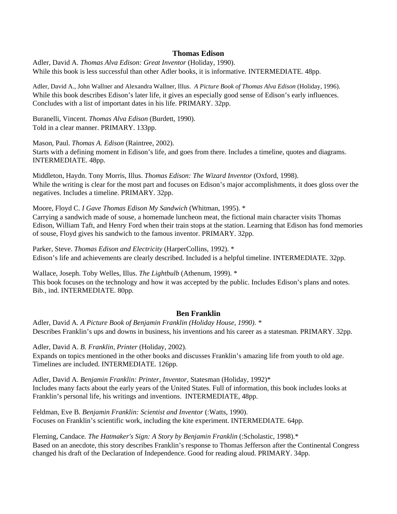## **Thomas Edison**

Adler, David A. *Thomas Alva Edison: Great Inventor* (Holiday, 1990). While this book is less successful than other Adler books, it is informative. INTERMEDIATE. 48pp.

Adler, David A., John Wallner and Alexandra Wallner, Illus. *A Picture Book of Thomas Alva Edison* (Holiday, 1996). While this book describes Edison's later life, it gives an especially good sense of Edison's early influences. Concludes with a list of important dates in his life. PRIMARY. 32pp.

Buranelli, Vincent. *Thomas Alva Edison* (Burdett, 1990). Told in a clear manner. PRIMARY. 133pp.

Mason, Paul. *Thomas A. Edison* (Raintree, 2002). Starts with a defining moment in Edison's life, and goes from there. Includes a timeline, quotes and diagrams. INTERMEDIATE. 48pp.

Middleton, Haydn. Tony Morris, Illus. *Thomas Edison: The Wizard Inventor* (Oxford, 1998). While the writing is clear for the most part and focuses on Edison's major accomplishments, it does gloss over the negatives. Includes a timeline. PRIMARY. 32pp.

Moore, Floyd C. *I Gave Thomas Edison My Sandwich* (Whitman, 1995). \*

Carrying a sandwich made of souse, a homemade luncheon meat, the fictional main character visits Thomas Edison, William Taft, and Henry Ford when their train stops at the station. Learning that Edison has fond memories of souse, Floyd gives his sandwich to the famous inventor. PRIMARY. 32pp.

Parker, Steve. *Thomas Edison and Electricity* (HarperCollins, 1992). \* Edison's life and achievements are clearly described. Included is a helpful timeline. INTERMEDIATE. 32pp.

Wallace, Joseph. Toby Welles, Illus. *The Lightbulb* (Athenum, 1999). \* This book focuses on the technology and how it was accepted by the public. Includes Edison's plans and notes. Bib., ind. INTERMEDIATE. 80pp.

#### **Ben Franklin**

Adler, David A*. A Picture Book of Benjamin Franklin (Holiday House, 1990). \**  Describes Franklin's ups and downs in business, his inventions and his career as a statesman. PRIMARY. 32pp.

Adler, David A. *B. Franklin, Printer* (Holiday, 2002). Expands on topics mentioned in the other books and discusses Franklin's amazing life from youth to old age. Timelines are included. INTERMEDIATE. 126pp.

Adler, David A. *Benjamin Franklin: Printer, Inventor,* Statesman (Holiday, 1992)\* Includes many facts about the early years of the United States. Full of information, this book includes looks at Franklin's personal life, his writings and inventions. INTERMEDIATE, 48pp.

Feldman, Eve B*. Benjamin Franklin: Scientist and Inventor* (:Watts, 1990). Focuses on Franklin's scientific work, including the kite experiment. INTERMEDIATE. 64pp.

Fleming, Candace*. The Hatmaker's Sign: A Story by Benjamin Franklin* (:Scholastic, 1998).\* Based on an anecdote, this story describes Franklin's response to Thomas Jefferson after the Continental Congress changed his draft of the Declaration of Independence. Good for reading aloud. PRIMARY. 34pp.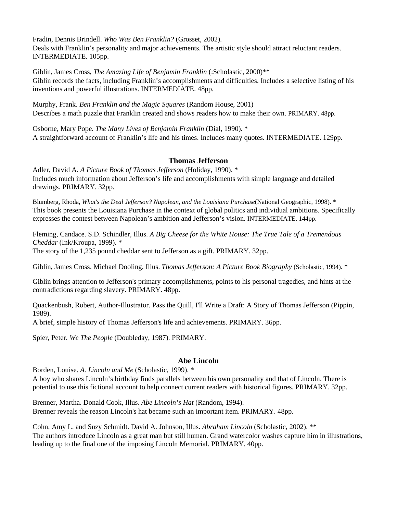Fradin, Dennis Brindell. *Who Was Ben Franklin?* (Grosset, 2002).

Deals with Franklin's personality and major achievements. The artistic style should attract reluctant readers. INTERMEDIATE. 105pp.

Giblin, James Cross, *The Amazing Life of Benjamin Franklin* (:Scholastic, 2000)\*\* Giblin records the facts, including Franklin's accomplishments and difficulties. Includes a selective listing of his inventions and powerful illustrations. INTERMEDIATE. 48pp.

Murphy, Frank. *Ben Franklin and the Magic Squares* (Random House, 2001) Describes a math puzzle that Franklin created and shows readers how to make their own. PRIMARY. 48pp.

Osborne, Mary Pope*. The Many Lives of Benjamin Franklin* (Dial, 1990). \* A straightforward account of Franklin's life and his times. Includes many quotes. INTERMEDIATE. 129pp.

## **Thomas Jefferson**

Adler, David A. *A Picture Book of Thomas Jefferson* (Holiday, 1990). \* Includes much information about Jefferson's life and accomplishments with simple language and detailed drawings. PRIMARY. 32pp.

Blumberg, Rhoda, *What's the Deal Jefferson? Napolean, and the Louisiana Purchase*(National Geographic, 1998). \* This book presents the Louisiana Purchase in the context of global politics and individual ambitions. Specifically expresses the contest between Napolean's ambition and Jefferson's vision. INTERMEDIATE. 144pp.

Fleming, Candace. S.D. Schindler, Illus. *A Big Cheese for the White House: The True Tale of a Tremendous Cheddar* (Ink/Kroupa, 1999). \*

The story of the 1,235 pound cheddar sent to Jefferson as a gift. PRIMARY. 32pp.

Giblin, James Cross. Michael Dooling, Illus. *Thomas Jefferson: A Picture Book Biography* (Scholastic, 1994). \*

Giblin brings attention to Jefferson's primary accomplishments, points to his personal tragedies, and hints at the contradictions regarding slavery. PRIMARY. 48pp.

Quackenbush, Robert, Author-Illustrator. Pass the Quill, I'll Write a Draft: A Story of Thomas Jefferson (Pippin, 1989).

A brief, simple history of Thomas Jefferson's life and achievements. PRIMARY. 36pp.

Spier, Peter. *We The People* (Doubleday, 1987). PRIMARY.

## **Abe Lincoln**

Borden, Louise. *A. Lincoln and Me* (Scholastic, 1999). \*

A boy who shares Lincoln's birthday finds parallels between his own personality and that of Lincoln. There is potential to use this fictional account to help connect current readers with historical figures. PRIMARY. 32pp.

Brenner, Martha. Donald Cook, Illus. *Abe Lincoln's Hat* (Random, 1994). Brenner reveals the reason Lincoln's hat became such an important item. PRIMARY. 48pp.

Cohn, Amy L. and Suzy Schmidt. David A. Johnson, Illus. *Abraham Lincoln* (Scholastic, 2002). \*\* The authors introduce Lincoln as a great man but still human. Grand watercolor washes capture him in illustrations, leading up to the final one of the imposing Lincoln Memorial. PRIMARY. 40pp.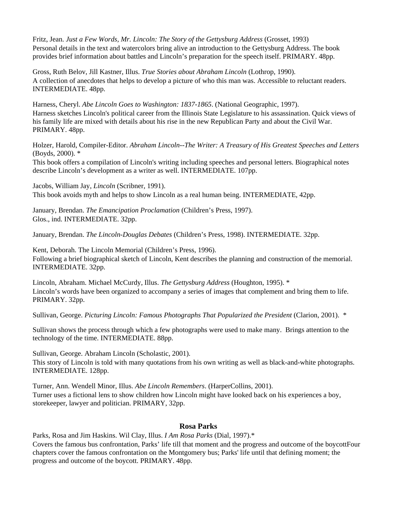Fritz, Jean. *Just a Few Words, Mr. Lincoln: The Story of the Gettysburg Address* (Grosset, 1993) Personal details in the text and watercolors bring alive an introduction to the Gettysburg Address. The book provides brief information about battles and Lincoln's preparation for the speech itself. PRIMARY. 48pp.

Gross, Ruth Belov, Jill Kastner, Illus. *True Stories about Abraham Lincoln* (Lothrop, 1990). A collection of anecdotes that helps to develop a picture of who this man was. Accessible to reluctant readers. INTERMEDIATE. 48pp.

Harness, Cheryl. *Abe Lincoln Goes to Washington: 1837-1865*. (National Geographic, 1997). Harness sketches Lincoln's political career from the Illinois State Legislature to his assassination. Quick views of his family life are mixed with details about his rise in the new Republican Party and about the Civil War. PRIMARY. 48pp.

Holzer, Harold, Compiler-Editor. *Abraham Lincoln--The Writer: A Treasury of His Greatest Speeches and Letters* (Boyds, 2000). \*

This book offers a compilation of Lincoln's writing including speeches and personal letters. Biographical notes describe Lincoln's development as a writer as well. INTERMEDIATE. 107pp.

Jacobs, William Jay, *Lincoln* (Scribner, 1991). This book avoids myth and helps to show Lincoln as a real human being. INTERMEDIATE, 42pp.

January, Brendan. *The Emancipation Proclamation* (Children's Press, 1997). Glos., ind. INTERMEDIATE. 32pp.

January, Brendan. *The Lincoln-Douglas Debates* (Children's Press, 1998). INTERMEDIATE. 32pp.

Kent, Deborah. The Lincoln Memorial (Children's Press, 1996). Following a brief biographical sketch of Lincoln, Kent describes the planning and construction of the memorial. INTERMEDIATE. 32pp.

Lincoln, Abraham. Michael McCurdy, Illus. *The Gettysburg Address* (Houghton, 1995). \* Lincoln's words have been organized to accompany a series of images that complement and bring them to life. PRIMARY. 32pp.

Sullivan, George. *Picturing Lincoln: Famous Photographs That Popularized the President* (Clarion, 2001). \*

Sullivan shows the process through which a few photographs were used to make many. Brings attention to the technology of the time. INTERMEDIATE. 88pp.

Sullivan, George. Abraham Lincoln (Scholastic, 2001).

This story of Lincoln is told with many quotations from his own writing as well as black-and-white photographs. INTERMEDIATE. 128pp.

Turner, Ann. Wendell Minor, Illus. *Abe Lincoln Remembers*. (HarperCollins, 2001). Turner uses a fictional lens to show children how Lincoln might have looked back on his experiences a boy, storekeeper, lawyer and politician. PRIMARY, 32pp.

## **Rosa Parks**

Parks, Rosa and Jim Haskins. Wil Clay, Illus. *I Am Rosa Parks* (Dial, 1997).\* Covers the famous bus confrontation, Parks' life till that moment and the progress and outcome of the boycottFour chapters cover the famous confrontation on the Montgomery bus; Parks' life until that defining moment; the progress and outcome of the boycott. PRIMARY. 48pp.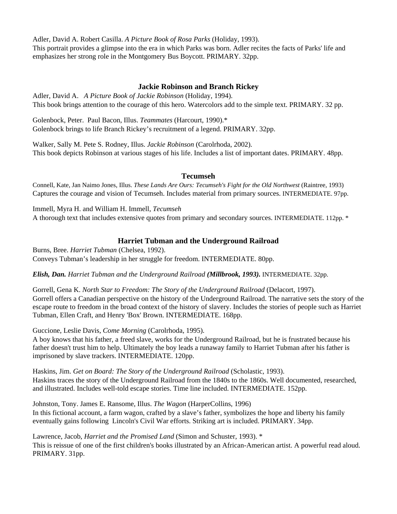Adler, David A. Robert Casilla. *A Picture Book of Rosa Parks* (Holiday, 1993). This portrait provides a glimpse into the era in which Parks was born. Adler recites the facts of Parks' life and emphasizes her strong role in the Montgomery Bus Boycott. PRIMARY. 32pp.

## **Jackie Robinson and Branch Rickey**

Adler, David A. *A Picture Book of Jackie Robinson* (Holiday, 1994). This book brings attention to the courage of this hero. Watercolors add to the simple text. PRIMARY. 32 pp.

Golenbock, Peter. Paul Bacon, Illus. *Teammates* (Harcourt, 1990).\* Golenbock brings to life Branch Rickey's recruitment of a legend. PRIMARY. 32pp.

Walker, Sally M. Pete S. Rodney, Illus. *Jackie Robinson* (Carolrhoda, 2002). This book depicts Robinson at various stages of his life. Includes a list of important dates. PRIMARY. 48pp.

## **Tecumseh**

Connell, Kate, Jan Naimo Jones, Illus. *These Lands Are Ours: Tecumseh's Fight for the Old Northwest* (Raintree, 1993) Captures the courage and vision of Tecumseh. Includes material from primary sources. INTERMEDIATE. 97pp.

Immell, Myra H. and William H. Immell, *Tecumseh* A thorough text that includes extensive quotes from primary and secondary sources. INTERMEDIATE. 112pp. \*

# **Harriet Tubman and the Underground Railroad**

Burns, Bree. *Harriet Tubman* (Chelsea, 1992). Conveys Tubman's leadership in her struggle for freedom. INTERMEDIATE. 80pp.

*Elish, Dan. Harriet Tubman and the Underground Railroad (Millbrook, 1993).* INTERMEDIATE. 32pp.

Gorrell, Gena K. *North Star to Freedom: The Story of the Underground Railroad* (Delacort, 1997). Gorrell offers a Canadian perspective on the history of the Underground Railroad. The narrative sets the story of the escape route to freedom in the broad context of the history of slavery. Includes the stories of people such as Harriet Tubman, Ellen Craft, and Henry 'Box' Brown. INTERMEDIATE. 168pp.

Guccione, Leslie Davis, *Come Morning* (Carolrhoda, 1995).

A boy knows that his father, a freed slave, works for the Underground Railroad, but he is frustrated because his father doesn't trust him to help. Ultimately the boy leads a runaway family to Harriet Tubman after his father is imprisoned by slave trackers. INTERMEDIATE. 120pp.

Haskins, Jim. *Get on Board: The Story of the Underground Railroad* (Scholastic, 1993). Haskins traces the story of the Underground Railroad from the 1840s to the 1860s. Well documented, researched, and illustrated. Includes well-told escape stories. Time line included. INTERMEDIATE. 152pp.

Johnston, Tony. James E. Ransome, Illus. *The Wagon* (HarperCollins, 1996) In this fictional account, a farm wagon, crafted by a slave's father, symbolizes the hope and liberty his family eventually gains following Lincoln's Civil War efforts. Striking art is included. PRIMARY. 34pp.

Lawrence, Jacob, *Harriet and the Promised Land* (Simon and Schuster, 1993). \* This is reissue of one of the first children's books illustrated by an African-American artist. A powerful read aloud. PRIMARY. 31pp.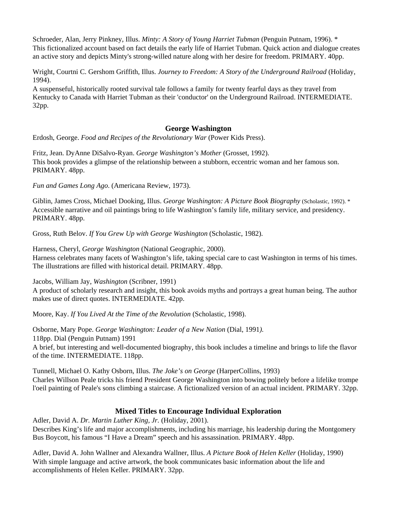Schroeder, Alan, Jerry Pinkney, Illus. *Minty: A Story of Young Harriet Tubman* (Penguin Putnam, 1996). \* This fictionalized account based on fact details the early life of Harriet Tubman. Quick action and dialogue creates an active story and depicts Minty's strong-willed nature along with her desire for freedom. PRIMARY. 40pp.

Wright, Courtni C. Gershom Griffith, Illus. *Journey to Freedom: A Story of the Underground Railroad* (Holiday, 1994).

A suspenseful, historically rooted survival tale follows a family for twenty fearful days as they travel from Kentucky to Canada with Harriet Tubman as their 'conductor' on the Underground Railroad. INTERMEDIATE. 32pp.

## **George Washington**

Erdosh, George. *Food and Recipes of the Revolutionary War* (Power Kids Press).

Fritz, Jean. DyAnne DiSalvo-Ryan. *George Washington's Mother* (Grosset, 1992). This book provides a glimpse of the relationship between a stubborn, eccentric woman and her famous son. PRIMARY. 48pp.

*Fun and Games Long Ago*. (Americana Review, 1973).

Giblin, James Cross, Michael Dooking, Illus. *George Washington: A Picture Book Biography* (Scholastic, 1992). \* Accessible narrative and oil paintings bring to life Washington's family life, military service, and presidency. PRIMARY. 48pp.

Gross, Ruth Belov. *If You Grew Up with George Washington* (Scholastic, 1982).

Harness, Cheryl, *George Washington* (National Geographic, 2000).

Harness celebrates many facets of Washington's life, taking special care to cast Washington in terms of his times. The illustrations are filled with historical detail. PRIMARY. 48pp.

Jacobs, William Jay, *Washington* (Scribner, 1991)

A product of scholarly research and insight, this book avoids myths and portrays a great human being. The author makes use of direct quotes. INTERMEDIATE. 42pp.

Moore, Kay. *If You Lived At the Time of the Revolution* (Scholastic, 1998).

Osborne, Mary Pope. *George Washington: Leader of a New Nation* (Dial, 1991*).*  118pp. Dial (Penguin Putnam) 1991 A brief, but interesting and well-documented biography, this book includes a timeline and brings to life the flavor of the time. INTERMEDIATE. 118pp.

Tunnell, Michael O. Kathy Osborn, Illus. *The Joke's on George* (HarperCollins, 1993) Charles Willson Peale tricks his friend President George Washington into bowing politely before a lifelike trompe l'oeil painting of Peale's sons climbing a staircase. A fictionalized version of an actual incident. PRIMARY. 32pp.

## **Mixed Titles to Encourage Individual Exploration**

Adler, David A. *Dr. Martin Luther King, Jr.* (Holiday, 2001). Describes King's life and major accomplishments, including his marriage, his leadership during the Montgomery Bus Boycott, his famous "I Have a Dream" speech and his assassination. PRIMARY. 48pp.

Adler, David A. John Wallner and Alexandra Wallner, Illus. *A Picture Book of Helen Keller* (Holiday, 1990) With simple language and active artwork, the book communicates basic information about the life and accomplishments of Helen Keller. PRIMARY. 32pp.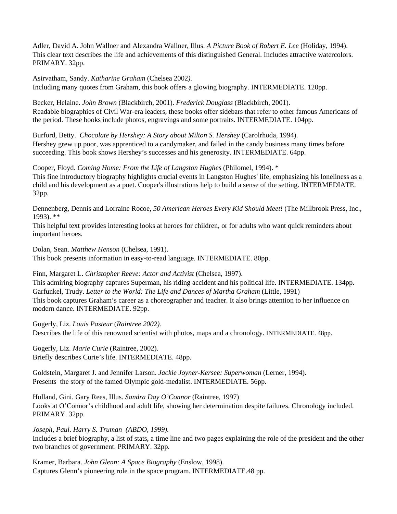Adler, David A. John Wallner and Alexandra Wallner, Illus. *A Picture Book of Robert E. Lee* (Holiday, 1994). This clear text describes the life and achievements of this distinguished General. Includes attractive watercolors. PRIMARY. 32pp.

Asirvatham, Sandy. *Katharine Graham* (Chelsea 2002*).*

Including many quotes from Graham, this book offers a glowing biography. INTERMEDIATE. 120pp.

Becker, Helaine. *John Brown* (Blackbirch, 2001). *Frederick Douglass* (Blackbirch, 2001). Readable biographies of Civil War-era leaders, these books offer sidebars that refer to other famous Americans of the period. These books include photos, engravings and some portraits. INTERMEDIATE. 104pp.

Burford, Betty. *Chocolate by Hershey: A Story about Milton S. Hershey* (Carolrhoda, 1994). Hershey grew up poor, was apprenticed to a candymaker, and failed in the candy business many times before succeeding. This book shows Hershey's successes and his generosity. INTERMEDIATE. 64pp.

Cooper, Floyd. *Coming Home: From the Life of Langston Hughes* (Philomel, 1994). \* This fine introductory biography highlights crucial events in Langston Hughes' life, emphasizing his loneliness as a child and his development as a poet. Cooper's illustrations help to build a sense of the setting. INTERMEDIATE. 32pp.

Dennenberg, Dennis and Lorraine Rocoe, *50 American Heroes Every Kid Should Meet!* (The Millbrook Press, Inc., 1993). \*\*

This helpful text provides interesting looks at heroes for children, or for adults who want quick reminders about important heroes.

Dolan, Sean. *Matthew Henson* (Chelsea, 1991). This book presents information in easy-to-read language. INTERMEDIATE. 80pp.

Finn, Margaret L. *Christopher Reeve: Actor and Activist* (Chelsea, 1997).

This admiring biography captures Superman, his riding accident and his political life. INTERMEDIATE. 134pp. Garfunkel, Trudy. *Letter to the World: The Life and Dances of Martha Graham* (Little, 1991) This book captures Graham's career as a choreographer and teacher. It also brings attention to her influence on modern dance. INTERMEDIATE. 92pp.

Gogerly, Liz. *Louis Pasteur* (*Raintree 2002).* Describes the life of this renowned scientist with photos, maps and a chronology. INTERMEDIATE. 48pp.

Gogerly, Liz. *Marie Curie* (Raintree, 2002). Briefly describes Curie's life. INTERMEDIATE. 48pp.

Goldstein, Margaret J. and Jennifer Larson. *Jackie Joyner-Kersee: Superwoman* (Lerner, 1994). Presents the story of the famed Olympic gold-medalist. INTERMEDIATE. 56pp.

Holland, Gini. Gary Rees, Illus. *Sandra Day O'Connor* (Raintree, 1997) Looks at O'Connor's childhood and adult life, showing her determination despite failures. Chronology included. PRIMARY. 32pp.

*Joseph, Paul*. *Harry S. Truman (ABDO, 1999).* Includes a brief biography, a list of stats, a time line and two pages explaining the role of the president and the other two branches of government. PRIMARY. 32pp.

Kramer, Barbara. *John Glenn: A Space Biography* (Enslow, 1998). Captures Glenn's pioneering role in the space program. INTERMEDIATE.48 pp.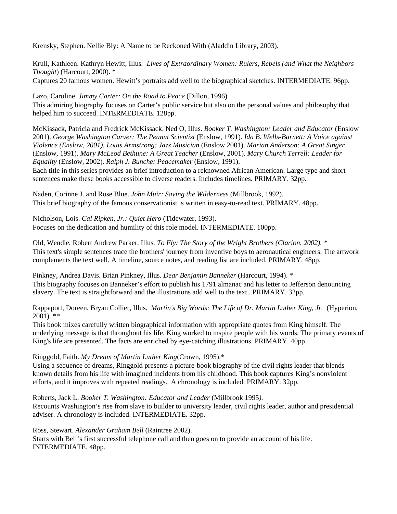Krensky, Stephen. Nellie Bly: A Name to be Reckoned With (Aladdin Library, 2003).

Krull, Kathleen. Kathryn Hewitt, Illus*. Lives of Extraordinary Women: Rulers, Rebels (and What the Neighbors Thought*) (Harcourt, 2000). \* Captures 20 famous women. Hewitt's portraits add well to the biographical sketches. INTERMEDIATE. 96pp.

Lazo, Caroline. *Jimmy Carter: On the Road to Peace* (Dillon, 1996) This admiring biography focuses on Carter's public service but also on the personal values and philosophy that helped him to succeed. INTERMEDIATE. 128pp.

McKissack, Patricia and Fredrick McKissack. Ned O, Illus. *Booker T. Washington: Leader and Educator* (Enslow 2001). *George Washington Carver: The Peanut Scientist* (Enslow, 1991). *Ida B. Wells-Barnett: A Voice against Violence (Enslow, 2001). Louis Armstrong: Jazz Musician* (Enslow 2001). *Marian Anderson: A Great Singer* (Enslow, 1991). *Mary McLeod Bethune: A Great Teacher* (Enslow, 2001). *Mary Church Terrell: Leader for Equality* (Enslow, 2002). *Ralph J. Bunche: Peacemaker* (Enslow, 1991).

Each title in this series provides an brief introduction to a reknowned African American. Large type and short sentences make these books accessible to diverse readers. Includes timelines. PRIMARY. 32pp.

Naden, Corinne J. and Rose Blue. *John Muir: Saving the Wilderness* (Millbrook, 1992). This brief biography of the famous conservationist is written in easy-to-read text. PRIMARY. 48pp.

Nicholson, Lois. *Cal Ripken, Jr.: Quiet Hero* (Tidewater, 1993). Focuses on the dedication and humility of this role model. INTERMEDIATE. 100pp.

Old, Wendie*.* Robert Andrew Parker, Illus*. To Fly: The Story of the Wright Brothers (Clarion, 2002). \** This text's simple sentences trace the brothers' journey from inventive boys to aeronautical engineers. The artwork complements the text well. A timeline, source notes, and reading list are included. PRIMARY. 48pp.

Pinkney, Andrea Davis. Brian Pinkney, Illus. *Dear Benjamin Banneker* (Harcourt, 1994). \* This biography focuses on Banneker's effort to publish his 1791 almanac and his letter to Jefferson denouncing slavery. The text is straightforward and the illustrations add well to the text.. PRIMARY. 32pp.

Rappaport, Doreen. Bryan Collier, Illus. *Martin's Big Words: The Life of Dr. Martin Luther King, Jr.* (Hyperion,  $2001$ ). \*\*

This book mixes carefully written biographical information with appropriate quotes from King himself. The underlying message is that throughout his life, King worked to inspire people with his words. The primary events of King's life are presented. The facts are enriched by eye-catching illustrations. PRIMARY. 40pp.

Ringgold, Faith. *My Dream of Martin Luther King*(Crown, 1995).\*

Using a sequence of dreams, Ringgold presents a picture-book biography of the civil rights leader that blends known details from his life with imagined incidents from his childhood. This book captures King's nonviolent efforts, and it improves with repeated readings. A chronology is included. PRIMARY. 32pp.

Roberts, Jack L. *Booker T. Washington: Educator and Leader* (Millbrook 1995*).* Recounts Washington's rise from slave to builder to university leader, civil rights leader, author and presidential adviser. A chronology is included. INTERMEDIATE. 32pp.

Ross, Stewart. *Alexander Graham Bell* (Raintree 2002).

Starts with Bell's first successful telephone call and then goes on to provide an account of his life. INTERMEDIATE. 48pp.